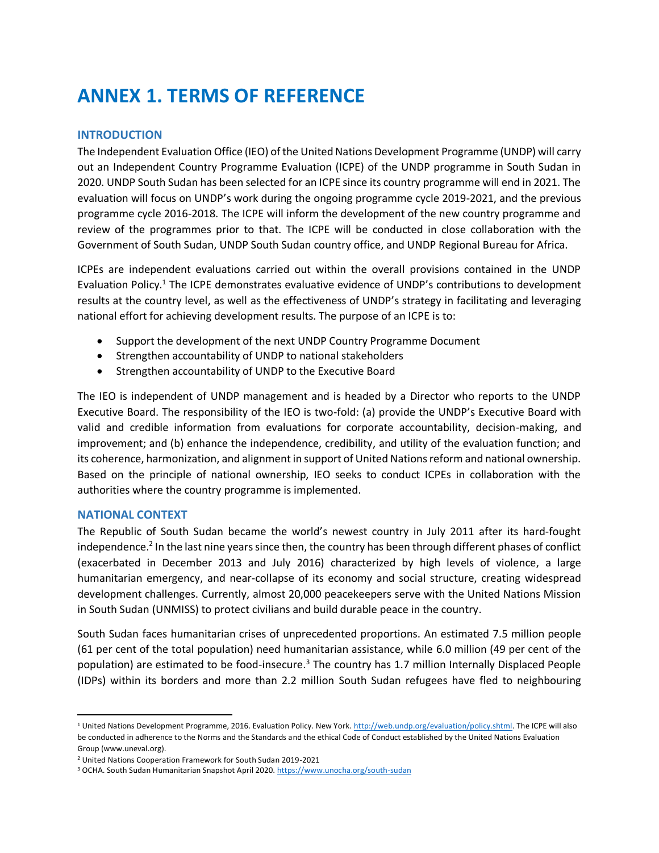# **ANNEX 1. TERMS OF REFERENCE**

## **INTRODUCTION**

The Independent Evaluation Office (IEO) of the United Nations Development Programme (UNDP) will carry out an Independent Country Programme Evaluation (ICPE) of the UNDP programme in South Sudan in 2020. UNDP South Sudan has been selected for an ICPE since its country programme will end in 2021. The evaluation will focus on UNDP's work during the ongoing programme cycle 2019-2021, and the previous programme cycle 2016-2018. The ICPE will inform the development of the new country programme and review of the programmes prior to that. The ICPE will be conducted in close collaboration with the Government of South Sudan, UNDP South Sudan country office, and UNDP Regional Bureau for Africa.

ICPEs are independent evaluations carried out within the overall provisions contained in the UNDP Evaluation Policy.<sup>1</sup> The ICPE demonstrates evaluative evidence of UNDP's contributions to development results at the country level, as well as the effectiveness of UNDP's strategy in facilitating and leveraging national effort for achieving development results. The purpose of an ICPE is to:

- Support the development of the next UNDP Country Programme Document
- Strengthen accountability of UNDP to national stakeholders
- Strengthen accountability of UNDP to the Executive Board

The IEO is independent of UNDP management and is headed by a Director who reports to the UNDP Executive Board. The responsibility of the IEO is two-fold: (a) provide the UNDP's Executive Board with valid and credible information from evaluations for corporate accountability, decision-making, and improvement; and (b) enhance the independence, credibility, and utility of the evaluation function; and its coherence, harmonization, and alignment in support of United Nations reform and national ownership. Based on the principle of national ownership, IEO seeks to conduct ICPEs in collaboration with the authorities where the country programme is implemented.

## **NATIONAL CONTEXT**

The Republic of South Sudan became the world's newest country in July 2011 after its hard-fought independence.<sup>2</sup> In the last nine years since then, the country has been through different phases of conflict (exacerbated in December 2013 and July 2016) characterized by high levels of violence, a large humanitarian emergency, and near-collapse of its economy and social structure, creating widespread development challenges. Currently, almost 20,000 peacekeepers serve with the United Nations Mission in South Sudan (UNMISS) to protect civilians and build durable peace in the country.

South Sudan faces humanitarian crises of unprecedented proportions. An estimated 7.5 million people (61 per cent of the total population) need humanitarian assistance, while 6.0 million (49 per cent of the population) are estimated to be food-insecure.<sup>3</sup> The country has 1.7 million Internally Displaced People (IDPs) within its borders and more than 2.2 million South Sudan refugees have fled to neighbouring

<sup>&</sup>lt;sup>1</sup> United Nations Development Programme, 2016. Evaluation Policy. New York. [http://web.undp.org/evaluation/policy.shtml.](http://web.undp.org/evaluation/policy.shtml) The ICPE will also be conducted in adherence to the Norms and the Standards and the ethical Code of Conduct established by the United Nations Evaluation Group (www.uneval.org).

<sup>2</sup> United Nations Cooperation Framework for South Sudan 2019-2021

<sup>&</sup>lt;sup>3</sup> OCHA. South Sudan Humanitarian Snapshot April 2020[. https://www.unocha.org/south-sudan](https://www.unocha.org/south-sudan)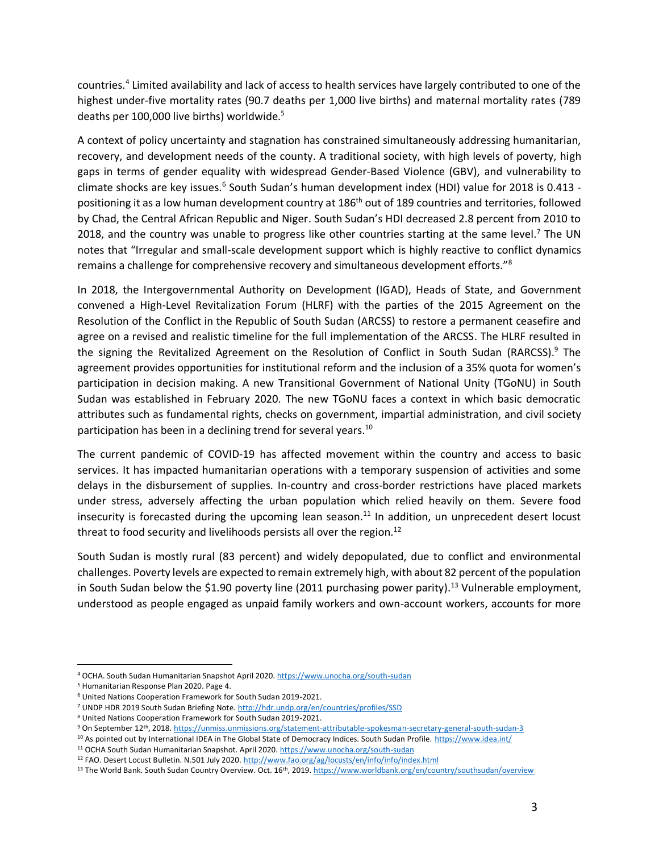countries.<sup>4</sup> Limited availability and lack of access to health services have largely contributed to one of the highest under-five mortality rates (90.7 deaths per 1,000 live births) and maternal mortality rates (789 deaths per 100,000 live births) worldwide.<sup>5</sup>

A context of policy uncertainty and stagnation has constrained simultaneously addressing humanitarian, recovery, and development needs of the county. A traditional society, with high levels of poverty, high gaps in terms of gender equality with widespread Gender-Based Violence (GBV), and vulnerability to climate shocks are key issues.<sup>6</sup> South Sudan's human development index (HDI) value for 2018 is 0.413 positioning it as a low human development country at 186<sup>th</sup> out of 189 countries and territories, followed by Chad, the Central African Republic and Niger. South Sudan's HDI decreased 2.8 percent from 2010 to 2018, and the country was unable to progress like other countries starting at the same level.<sup>7</sup> The UN notes that "Irregular and small-scale development support which is highly reactive to conflict dynamics remains a challenge for comprehensive recovery and simultaneous development efforts."<sup>8</sup>

In 2018, the Intergovernmental Authority on Development (IGAD), Heads of State, and Government convened a High-Level Revitalization Forum (HLRF) with the parties of the 2015 Agreement on the Resolution of the Conflict in the Republic of South Sudan (ARCSS) to restore a permanent ceasefire and agree on a revised and realistic timeline for the full implementation of the ARCSS. The HLRF resulted in the signing the Revitalized Agreement on the Resolution of Conflict in South Sudan (RARCSS).<sup>9</sup> The agreement provides opportunities for institutional reform and the inclusion of a 35% quota for women's participation in decision making. A new Transitional Government of National Unity (TGoNU) in South Sudan was established in February 2020. The new TGoNU faces a context in which basic democratic attributes such as fundamental rights, checks on government, impartial administration, and civil society participation has been in a declining trend for several years.<sup>10</sup>

The current pandemic of COVID-19 has affected movement within the country and access to basic services. It has impacted humanitarian operations with a temporary suspension of activities and some delays in the disbursement of supplies. In-country and cross-border restrictions have placed markets under stress, adversely affecting the urban population which relied heavily on them. Severe food insecurity is forecasted during the upcoming lean season.<sup>11</sup> In addition, un unprecedent desert locust threat to food security and livelihoods persists all over the region.<sup>12</sup>

South Sudan is mostly rural (83 percent) and widely depopulated, due to conflict and environmental challenges. Poverty levels are expected to remain extremely high, with about 82 percent of the population in South Sudan below the \$1.90 poverty line (2011 purchasing power parity).<sup>13</sup> Vulnerable employment, understood as people engaged as unpaid family workers and own-account workers, accounts for more

<sup>4</sup> OCHA. South Sudan Humanitarian Snapshot April 2020[. https://www.unocha.org/south-sudan](https://www.unocha.org/south-sudan)

<sup>5</sup> Humanitarian Response Plan 2020. Page 4.

<sup>6</sup> United Nations Cooperation Framework for South Sudan 2019-2021.

<sup>7</sup> UNDP HDR 2019 South Sudan Briefing Note[. http://hdr.undp.org/en/countries/profiles/SSD](http://hdr.undp.org/en/countries/profiles/SSD)

<sup>8</sup> United Nations Cooperation Framework for South Sudan 2019-2021.

<sup>9</sup> On September 12<sup>th</sup>, 2018[. https://unmiss.unmissions.org/statement-attributable-spokesman-secretary-general-south-sudan-3](https://unmiss.unmissions.org/statement-attributable-spokesman-secretary-general-south-sudan-3)

<sup>10</sup> As pointed out by International IDEA in The Global State of Democracy Indices. South Sudan Profile.<https://www.idea.int/>

<sup>11</sup> OCHA South Sudan Humanitarian Snapshot. April 2020[. https://www.unocha.org/south-sudan](https://www.unocha.org/south-sudan)

<sup>&</sup>lt;sup>12</sup> FAO. Desert Locust Bulletin. N.501 July 2020[. http://www.fao.org/ag/locusts/en/info/info/index.html](http://www.fao.org/ag/locusts/en/info/info/index.html)

<sup>&</sup>lt;sup>13</sup> The World Bank. South Sudan Country Overview. Oct. 16<sup>th</sup>, 2019[. https://www.worldbank.org/en/country/southsudan/overview](https://www.worldbank.org/en/country/southsudan/overview)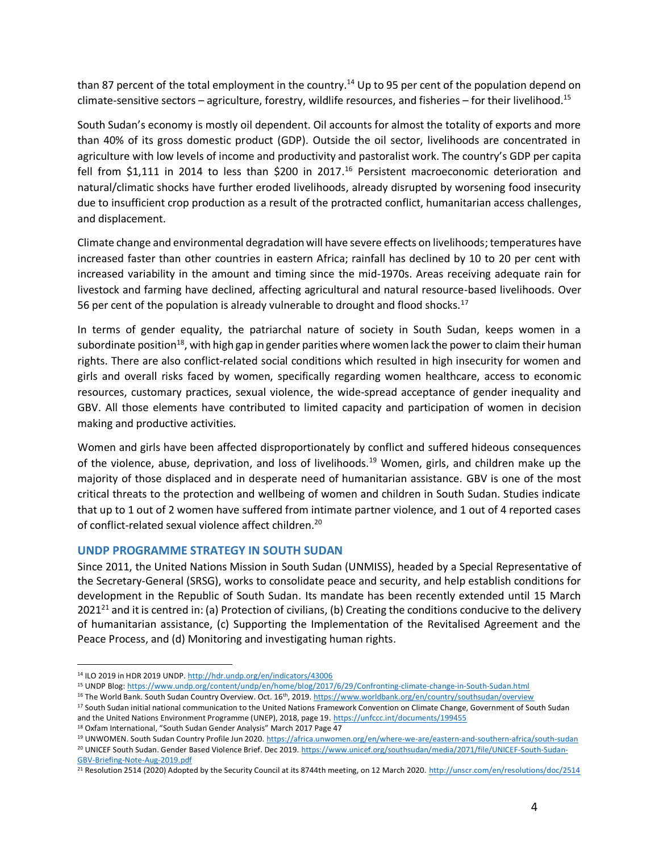than 87 percent of the total employment in the country.<sup>14</sup> Up to 95 per cent of the population depend on climate-sensitive sectors – agriculture, forestry, wildlife resources, and fisheries – for their livelihood.<sup>15</sup>

South Sudan's economy is mostly oil dependent. Oil accounts for almost the totality of exports and more than 40% of its gross domestic product (GDP). Outside the oil sector, livelihoods are concentrated in agriculture with low levels of income and productivity and pastoralist work. The country's GDP per capita fell from \$1,111 in 2014 to less than \$200 in 2017.<sup>16</sup> Persistent macroeconomic deterioration and natural/climatic shocks have further eroded livelihoods, already disrupted by worsening food insecurity due to insufficient crop production as a result of the protracted conflict, humanitarian access challenges, and displacement.

Climate change and environmental degradation will have severe effects on livelihoods;temperatures have increased faster than other countries in eastern Africa; rainfall has declined by 10 to 20 per cent with increased variability in the amount and timing since the mid-1970s. Areas receiving adequate rain for livestock and farming have declined, affecting agricultural and natural resource-based livelihoods. Over 56 per cent of the population is already vulnerable to drought and flood shocks.<sup>17</sup>

In terms of gender equality, the patriarchal nature of society in South Sudan, keeps women in a subordinate position<sup>18</sup>, with high gap in gender parities where women lack the power to claim their human rights. There are also conflict-related social conditions which resulted in high insecurity for women and girls and overall risks faced by women, specifically regarding women healthcare, access to economic resources, customary practices, sexual violence, the wide-spread acceptance of gender inequality and GBV. All those elements have contributed to limited capacity and participation of women in decision making and productive activities.

Women and girls have been affected disproportionately by conflict and suffered hideous consequences of the violence, abuse, deprivation, and loss of livelihoods.<sup>19</sup> Women, girls, and children make up the majority of those displaced and in desperate need of humanitarian assistance. GBV is one of the most critical threats to the protection and wellbeing of women and children in South Sudan. Studies indicate that up to 1 out of 2 women have suffered from intimate partner violence, and 1 out of 4 reported cases of conflict-related sexual violence affect children.<sup>20</sup>

## **UNDP PROGRAMME STRATEGY IN SOUTH SUDAN**

Since 2011, the United Nations Mission in South Sudan (UNMISS), headed by a Special Representative of the Secretary-General (SRSG), works to consolidate peace and security, and help establish conditions for development in the Republic of South Sudan. Its mandate has been recently extended until 15 March 2021<sup>21</sup> and it is centred in: (a) Protection of civilians, (b) Creating the conditions conducive to the delivery of humanitarian assistance, (c) Supporting the Implementation of the Revitalised Agreement and the Peace Process, and (d) Monitoring and investigating human rights.

<sup>15</sup> UNDP Blog[: https://www.undp.org/content/undp/en/home/blog/2017/6/29/Confronting-climate-change-in-South-Sudan.html](https://www.undp.org/content/undp/en/home/blog/2017/6/29/Confronting-climate-change-in-South-Sudan.html)

<sup>18</sup> Oxfam International, "South Sudan Gender Analysis" March 2017 Page 47

<sup>14</sup> ILO 2019 in HDR 2019 UNDP[. http://hdr.undp.org/en/indicators/43006](http://hdr.undp.org/en/indicators/43006)

<sup>&</sup>lt;sup>16</sup> The World Bank. South Sudan Country Overview. Oct. 16<sup>th</sup>, 2019[. https://www.worldbank.org/en/country/southsudan/overview](https://www.worldbank.org/en/country/southsudan/overview)

<sup>&</sup>lt;sup>17</sup> South Sudan initial national communication to the United Nations Framework Convention on Climate Change, Government of South Sudan and the United Nations Environment Programme (UNEP), 2018, page 19.<https://unfccc.int/documents/199455>

<sup>19</sup> UNWOMEN. South Sudan Country Profile Jun 2020[. https://africa.unwomen.org/en/where-we-are/eastern-and-southern-africa/south-sudan](https://africa.unwomen.org/en/where-we-are/eastern-and-southern-africa/south-sudan) <sup>20</sup> UNICEF South Sudan. Gender Based Violence Brief. Dec 2019. [https://www.unicef.org/southsudan/media/2071/file/UNICEF-South-Sudan-](https://www.unicef.org/southsudan/media/2071/file/UNICEF-South-Sudan-GBV-Briefing-Note-Aug-2019.pdf)[GBV-Briefing-Note-Aug-2019.pdf](https://www.unicef.org/southsudan/media/2071/file/UNICEF-South-Sudan-GBV-Briefing-Note-Aug-2019.pdf)

<sup>&</sup>lt;sup>21</sup> Resolution 2514 (2020) Adopted by the Security Council at its 8744th meeting, on 12 March 2020[. http://unscr.com/en/resolutions/doc/2514](http://unscr.com/en/resolutions/doc/2514)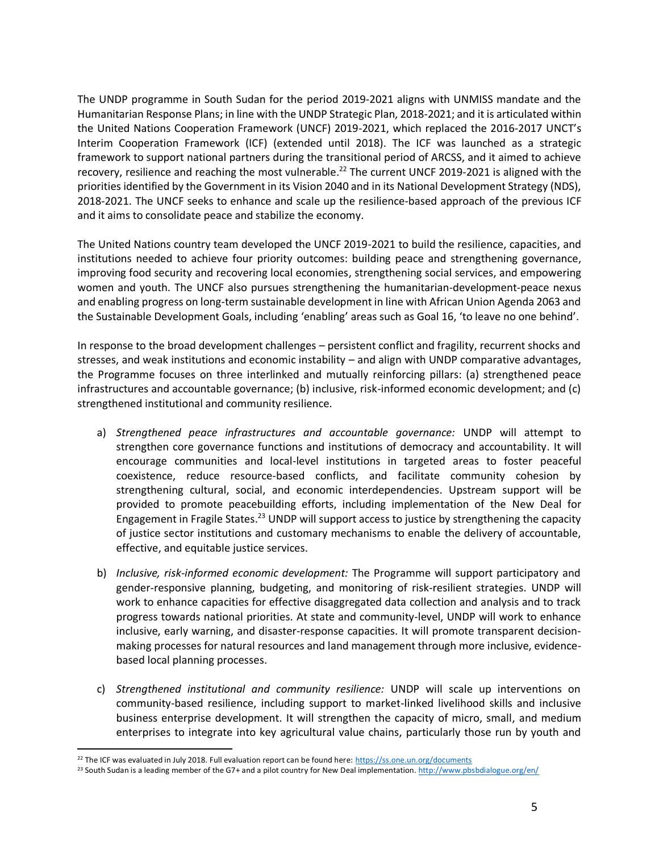The UNDP programme in South Sudan for the period 2019-2021 aligns with UNMISS mandate and the Humanitarian Response Plans; in line with the UNDP Strategic Plan, 2018-2021; and it is articulated within the United Nations Cooperation Framework (UNCF) 2019-2021, which replaced the 2016-2017 UNCT's Interim Cooperation Framework (ICF) (extended until 2018). The ICF was launched as a strategic framework to support national partners during the transitional period of ARCSS, and it aimed to achieve recovery, resilience and reaching the most vulnerable.<sup>22</sup> The current UNCF 2019-2021 is aligned with the priorities identified by the Government in its Vision 2040 and in its National Development Strategy (NDS), 2018-2021. The UNCF seeks to enhance and scale up the resilience-based approach of the previous ICF and it aims to consolidate peace and stabilize the economy.

The United Nations country team developed the UNCF 2019-2021 to build the resilience, capacities, and institutions needed to achieve four priority outcomes: building peace and strengthening governance, improving food security and recovering local economies, strengthening social services, and empowering women and youth. The UNCF also pursues strengthening the humanitarian-development-peace nexus and enabling progress on long-term sustainable development in line with African Union Agenda 2063 and the Sustainable Development Goals, including 'enabling' areas such as Goal 16, 'to leave no one behind'.

In response to the broad development challenges – persistent conflict and fragility, recurrent shocks and stresses, and weak institutions and economic instability – and align with UNDP comparative advantages, the Programme focuses on three interlinked and mutually reinforcing pillars: (a) strengthened peace infrastructures and accountable governance; (b) inclusive, risk-informed economic development; and (c) strengthened institutional and community resilience.

- a) *Strengthened peace infrastructures and accountable governance:* UNDP will attempt to strengthen core governance functions and institutions of democracy and accountability. It will encourage communities and local-level institutions in targeted areas to foster peaceful coexistence, reduce resource-based conflicts, and facilitate community cohesion by strengthening cultural, social, and economic interdependencies. Upstream support will be provided to promote peacebuilding efforts, including implementation of the New Deal for Engagement in Fragile States.<sup>23</sup> UNDP will support access to justice by strengthening the capacity of justice sector institutions and customary mechanisms to enable the delivery of accountable, effective, and equitable justice services.
- b) *Inclusive, risk-informed economic development:* The Programme will support participatory and gender-responsive planning, budgeting, and monitoring of risk-resilient strategies. UNDP will work to enhance capacities for effective disaggregated data collection and analysis and to track progress towards national priorities. At state and community-level, UNDP will work to enhance inclusive, early warning, and disaster-response capacities. It will promote transparent decisionmaking processes for natural resources and land management through more inclusive, evidencebased local planning processes.
- c) *Strengthened institutional and community resilience:* UNDP will scale up interventions on community-based resilience, including support to market-linked livelihood skills and inclusive business enterprise development. It will strengthen the capacity of micro, small, and medium enterprises to integrate into key agricultural value chains, particularly those run by youth and

<sup>&</sup>lt;sup>22</sup> The ICF was evaluated in July 2018. Full evaluation report can be found here:<https://ss.one.un.org/documents>

<sup>&</sup>lt;sup>23</sup> South Sudan is a leading member of the G7+ and a pilot country for New Deal implementation[. http://www.pbsbdialogue.org/en/](http://www.pbsbdialogue.org/en/)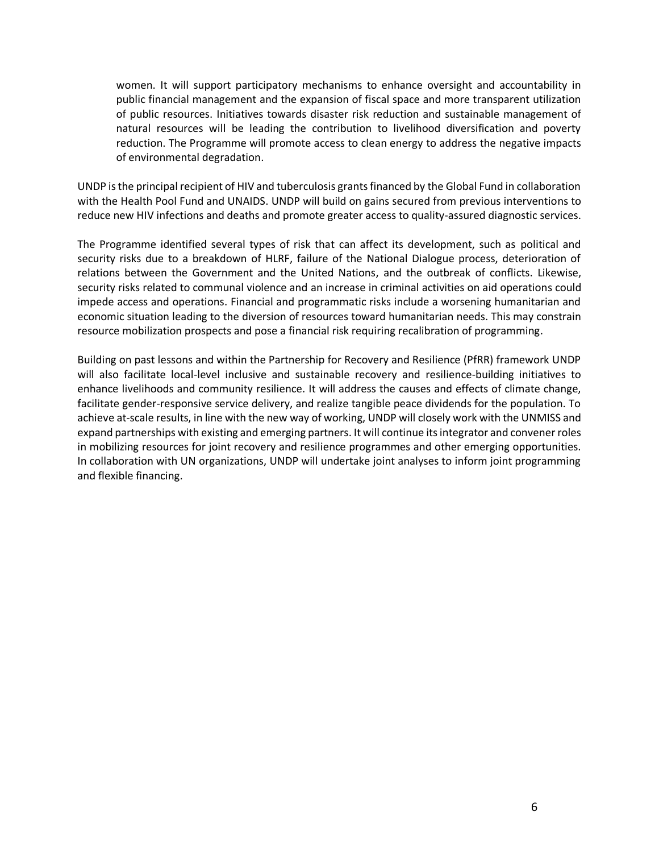women. It will support participatory mechanisms to enhance oversight and accountability in public financial management and the expansion of fiscal space and more transparent utilization of public resources. Initiatives towards disaster risk reduction and sustainable management of natural resources will be leading the contribution to livelihood diversification and poverty reduction. The Programme will promote access to clean energy to address the negative impacts of environmental degradation.

UNDP is the principal recipient of HIV and tuberculosis grants financed by the Global Fund in collaboration with the Health Pool Fund and UNAIDS. UNDP will build on gains secured from previous interventions to reduce new HIV infections and deaths and promote greater access to quality-assured diagnostic services.

The Programme identified several types of risk that can affect its development, such as political and security risks due to a breakdown of HLRF, failure of the National Dialogue process, deterioration of relations between the Government and the United Nations, and the outbreak of conflicts. Likewise, security risks related to communal violence and an increase in criminal activities on aid operations could impede access and operations. Financial and programmatic risks include a worsening humanitarian and economic situation leading to the diversion of resources toward humanitarian needs. This may constrain resource mobilization prospects and pose a financial risk requiring recalibration of programming.

Building on past lessons and within the Partnership for Recovery and Resilience (PfRR) framework UNDP will also facilitate local-level inclusive and sustainable recovery and resilience-building initiatives to enhance livelihoods and community resilience. It will address the causes and effects of climate change, facilitate gender-responsive service delivery, and realize tangible peace dividends for the population. To achieve at-scale results, in line with the new way of working, UNDP will closely work with the UNMISS and expand partnerships with existing and emerging partners. It will continue its integrator and convener roles in mobilizing resources for joint recovery and resilience programmes and other emerging opportunities. In collaboration with UN organizations, UNDP will undertake joint analyses to inform joint programming and flexible financing.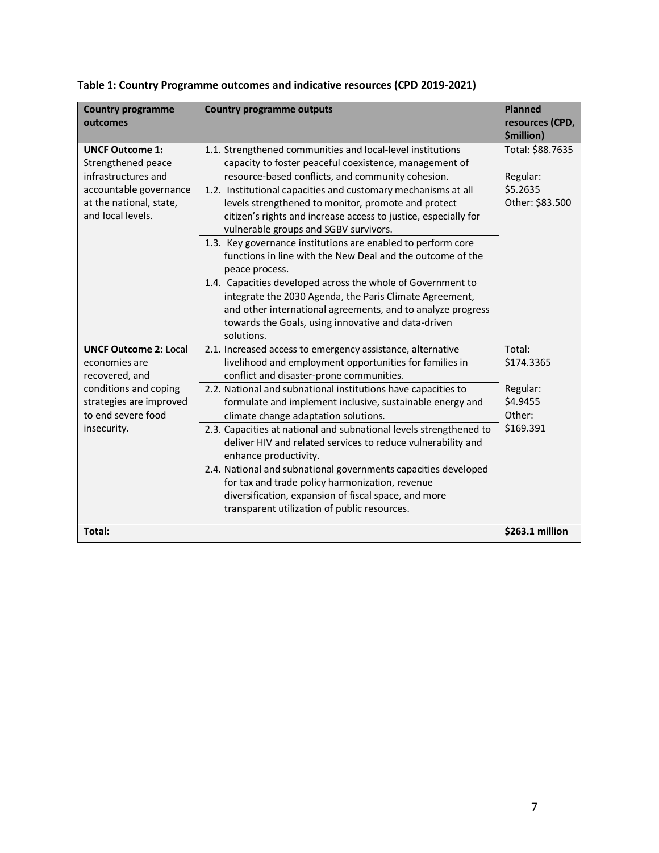| <b>Country programme</b><br>outcomes                                                                                                          | <b>Country programme outputs</b>                                                                                                                                                                                                                                                                                                                                                                                                                                                                                                                                                                                             | <b>Planned</b><br>resources (CPD,<br>\$million)             |
|-----------------------------------------------------------------------------------------------------------------------------------------------|------------------------------------------------------------------------------------------------------------------------------------------------------------------------------------------------------------------------------------------------------------------------------------------------------------------------------------------------------------------------------------------------------------------------------------------------------------------------------------------------------------------------------------------------------------------------------------------------------------------------------|-------------------------------------------------------------|
| <b>UNCF Outcome 1:</b><br>Strengthened peace<br>infrastructures and<br>accountable governance<br>at the national, state,<br>and local levels. | 1.1. Strengthened communities and local-level institutions<br>capacity to foster peaceful coexistence, management of<br>resource-based conflicts, and community cohesion.<br>1.2. Institutional capacities and customary mechanisms at all<br>levels strengthened to monitor, promote and protect<br>citizen's rights and increase access to justice, especially for<br>vulnerable groups and SGBV survivors.<br>1.3. Key governance institutions are enabled to perform core<br>functions in line with the New Deal and the outcome of the<br>peace process.<br>1.4. Capacities developed across the whole of Government to | Total: \$88.7635<br>Regular:<br>\$5.2635<br>Other: \$83.500 |
|                                                                                                                                               | integrate the 2030 Agenda, the Paris Climate Agreement,<br>and other international agreements, and to analyze progress<br>towards the Goals, using innovative and data-driven<br>solutions.                                                                                                                                                                                                                                                                                                                                                                                                                                  |                                                             |
| <b>UNCF Outcome 2: Local</b><br>economies are<br>recovered, and                                                                               | 2.1. Increased access to emergency assistance, alternative<br>livelihood and employment opportunities for families in<br>conflict and disaster-prone communities.                                                                                                                                                                                                                                                                                                                                                                                                                                                            | Total:<br>\$174.3365                                        |
| conditions and coping<br>strategies are improved<br>to end severe food<br>insecurity.                                                         | 2.2. National and subnational institutions have capacities to<br>formulate and implement inclusive, sustainable energy and<br>climate change adaptation solutions.<br>2.3. Capacities at national and subnational levels strengthened to<br>deliver HIV and related services to reduce vulnerability and                                                                                                                                                                                                                                                                                                                     | Regular:<br>\$4.9455<br>Other:<br>\$169.391                 |
|                                                                                                                                               | enhance productivity.<br>2.4. National and subnational governments capacities developed<br>for tax and trade policy harmonization, revenue<br>diversification, expansion of fiscal space, and more<br>transparent utilization of public resources.                                                                                                                                                                                                                                                                                                                                                                           |                                                             |
| Total:                                                                                                                                        |                                                                                                                                                                                                                                                                                                                                                                                                                                                                                                                                                                                                                              | \$263.1 million                                             |

| Table 1: Country Programme outcomes and indicative resources (CPD 2019-2021) |  |  |
|------------------------------------------------------------------------------|--|--|
|------------------------------------------------------------------------------|--|--|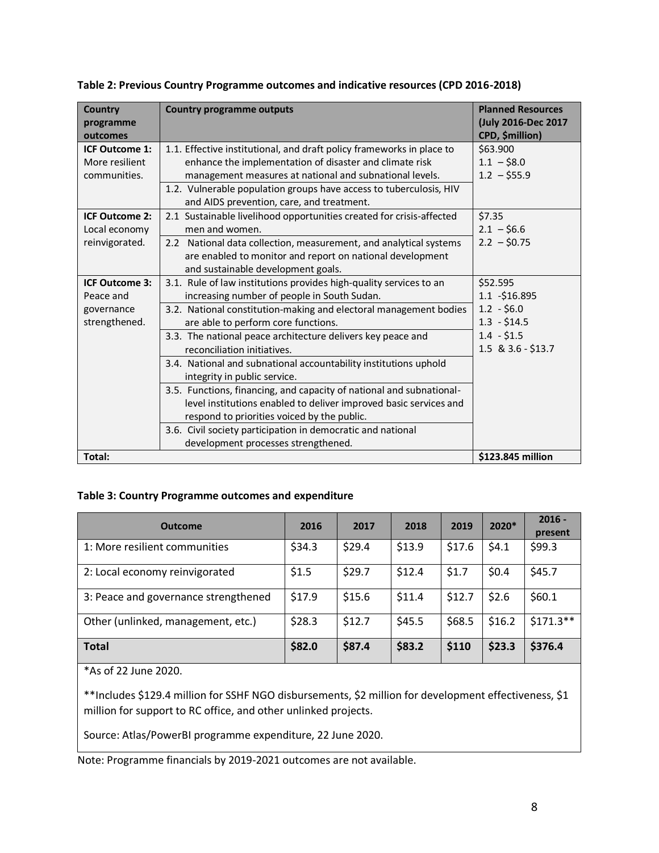| <b>Country</b><br>programme<br>outcomes | <b>Country programme outputs</b>                                                                                | <b>Planned Resources</b><br>(July 2016-Dec 2017<br>CPD, \$million) |
|-----------------------------------------|-----------------------------------------------------------------------------------------------------------------|--------------------------------------------------------------------|
| <b>ICF Outcome 1:</b>                   | 1.1. Effective institutional, and draft policy frameworks in place to                                           | \$63.900                                                           |
| More resilient                          | enhance the implementation of disaster and climate risk                                                         | $1.1 - $8.0$                                                       |
| communities.                            | management measures at national and subnational levels.                                                         | $1.2 - $55.9$                                                      |
|                                         | 1.2. Vulnerable population groups have access to tuberculosis, HIV<br>and AIDS prevention, care, and treatment. |                                                                    |
| <b>ICF Outcome 2:</b>                   | 2.1 Sustainable livelihood opportunities created for crisis-affected                                            | \$7.35                                                             |
| Local economy                           | men and women.                                                                                                  | $2.1 - $6.6$                                                       |
| reinvigorated.                          | 2.2 National data collection, measurement, and analytical systems                                               | $2.2 - $0.75$                                                      |
|                                         | are enabled to monitor and report on national development                                                       |                                                                    |
|                                         | and sustainable development goals.                                                                              |                                                                    |
| <b>ICF Outcome 3:</b>                   | 3.1. Rule of law institutions provides high-quality services to an                                              | \$52.595                                                           |
| Peace and                               | increasing number of people in South Sudan.                                                                     | $1.1 - $16.895$                                                    |
| governance                              | 3.2. National constitution-making and electoral management bodies                                               | $1.2 - $6.0$                                                       |
| strengthened.                           | are able to perform core functions.                                                                             | $1.3 - $14.5$                                                      |
|                                         | 3.3. The national peace architecture delivers key peace and                                                     | $1.4 - $1.5$                                                       |
|                                         | reconciliation initiatives.                                                                                     | 1.5 & 3.6 - \$13.7                                                 |
|                                         | 3.4. National and subnational accountability institutions uphold<br>integrity in public service.                |                                                                    |
|                                         | 3.5. Functions, financing, and capacity of national and subnational-                                            |                                                                    |
|                                         | level institutions enabled to deliver improved basic services and                                               |                                                                    |
|                                         | respond to priorities voiced by the public.                                                                     |                                                                    |
|                                         | 3.6. Civil society participation in democratic and national                                                     |                                                                    |
|                                         | development processes strengthened.                                                                             |                                                                    |
| Total:                                  |                                                                                                                 | \$123.845 million                                                  |

**Table 2: Previous Country Programme outcomes and indicative resources (CPD 2016-2018)**

## **Table 3: Country Programme outcomes and expenditure**

| <b>Outcome</b>                       | 2016   | 2017   | 2018   | 2019   | 2020*  | $2016 -$<br>present |
|--------------------------------------|--------|--------|--------|--------|--------|---------------------|
| 1: More resilient communities        | \$34.3 | \$29.4 | \$13.9 | \$17.6 | \$4.1  | \$99.3              |
| 2: Local economy reinvigorated       | \$1.5  | \$29.7 | \$12.4 | \$1.7  | \$0.4  | \$45.7              |
| 3: Peace and governance strengthened | \$17.9 | \$15.6 | \$11.4 | \$12.7 | \$2.6  | \$60.1              |
| Other (unlinked, management, etc.)   | \$28.3 | \$12.7 | \$45.5 | \$68.5 | \$16.2 | $$171.3**$$         |
| <b>Total</b>                         | \$82.0 | \$87.4 | \$83.2 | \$110  | \$23.3 | \$376.4             |

\*As of 22 June 2020.

\*\*Includes \$129.4 million for SSHF NGO disbursements, \$2 million for development effectiveness, \$1 million for support to RC office, and other unlinked projects.

Source: Atlas/PowerBI programme expenditure, 22 June 2020.

Note: Programme financials by 2019-2021 outcomes are not available.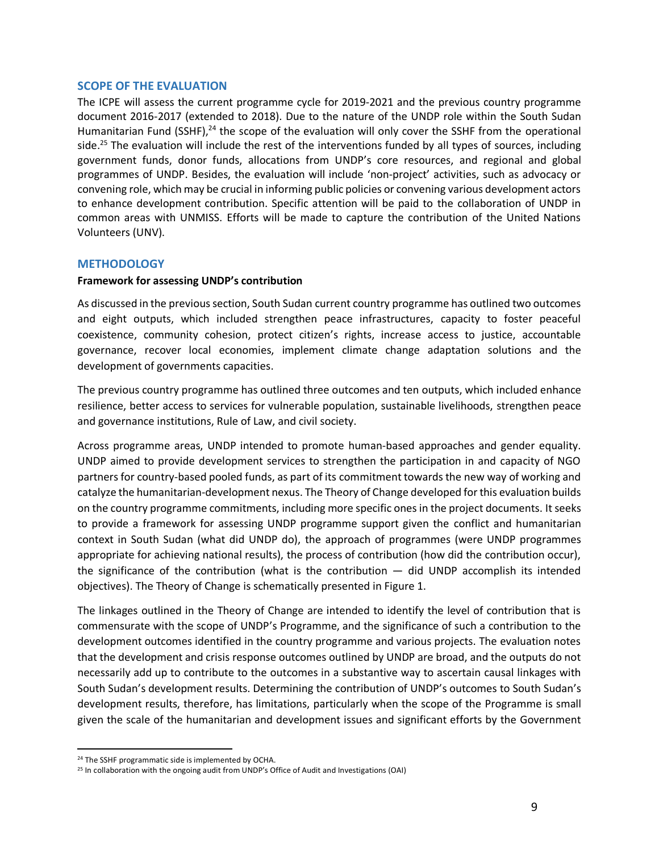#### **SCOPE OF THE EVALUATION**

The ICPE will assess the current programme cycle for 2019-2021 and the previous country programme document 2016-2017 (extended to 2018). Due to the nature of the UNDP role within the South Sudan Humanitarian Fund (SSHF),<sup>24</sup> the scope of the evaluation will only cover the SSHF from the operational side.<sup>25</sup> The evaluation will include the rest of the interventions funded by all types of sources, including government funds, donor funds, allocations from UNDP's core resources, and regional and global programmes of UNDP. Besides, the evaluation will include 'non-project' activities, such as advocacy or convening role, which may be crucial in informing public policies or convening various development actors to enhance development contribution. Specific attention will be paid to the collaboration of UNDP in common areas with UNMISS. Efforts will be made to capture the contribution of the United Nations Volunteers (UNV).

## **METHODOLOGY**

## **Framework for assessing UNDP's contribution**

As discussed in the previous section, South Sudan current country programme has outlined two outcomes and eight outputs, which included strengthen peace infrastructures, capacity to foster peaceful coexistence, community cohesion, protect citizen's rights, increase access to justice, accountable governance, recover local economies, implement climate change adaptation solutions and the development of governments capacities.

The previous country programme has outlined three outcomes and ten outputs, which included enhance resilience, better access to services for vulnerable population, sustainable livelihoods, strengthen peace and governance institutions, Rule of Law, and civil society.

Across programme areas, UNDP intended to promote human-based approaches and gender equality. UNDP aimed to provide development services to strengthen the participation in and capacity of NGO partners for country-based pooled funds, as part of its commitment towards the new way of working and catalyze the humanitarian-development nexus. The Theory of Change developed for this evaluation builds on the country programme commitments, including more specific ones in the project documents. It seeks to provide a framework for assessing UNDP programme support given the conflict and humanitarian context in South Sudan (what did UNDP do), the approach of programmes (were UNDP programmes appropriate for achieving national results), the process of contribution (how did the contribution occur), the significance of the contribution (what is the contribution  $-$  did UNDP accomplish its intended objectives). The Theory of Change is schematically presented in Figure 1.

The linkages outlined in the Theory of Change are intended to identify the level of contribution that is commensurate with the scope of UNDP's Programme, and the significance of such a contribution to the development outcomes identified in the country programme and various projects. The evaluation notes that the development and crisis response outcomes outlined by UNDP are broad, and the outputs do not necessarily add up to contribute to the outcomes in a substantive way to ascertain causal linkages with South Sudan's development results. Determining the contribution of UNDP's outcomes to South Sudan's development results, therefore, has limitations, particularly when the scope of the Programme is small given the scale of the humanitarian and development issues and significant efforts by the Government

<sup>&</sup>lt;sup>24</sup> The SSHF programmatic side is implemented by OCHA.

<sup>&</sup>lt;sup>25</sup> In collaboration with the ongoing audit from UNDP's Office of Audit and Investigations (OAI)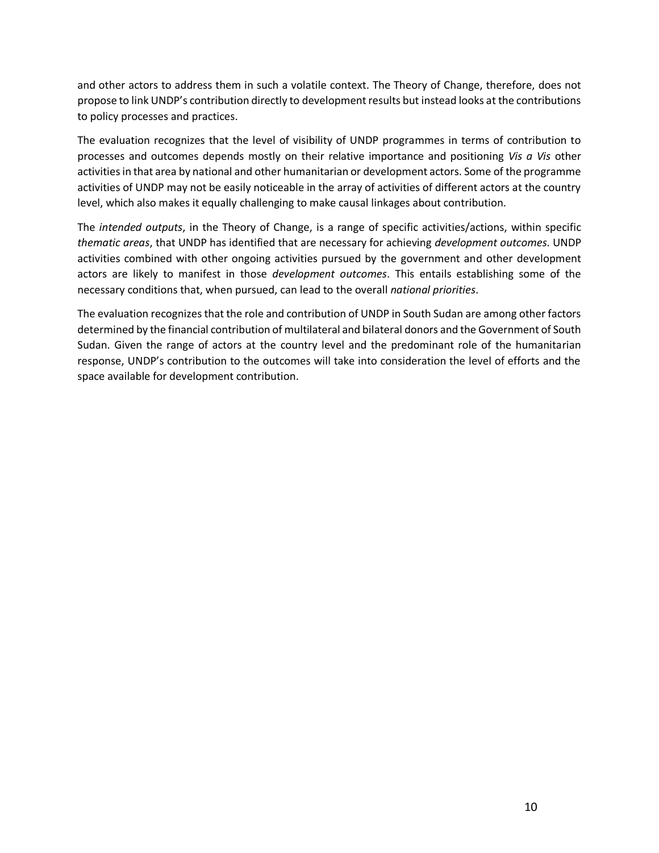and other actors to address them in such a volatile context. The Theory of Change, therefore, does not propose to link UNDP's contribution directly to development results but instead looks at the contributions to policy processes and practices.

The evaluation recognizes that the level of visibility of UNDP programmes in terms of contribution to processes and outcomes depends mostly on their relative importance and positioning *Vis a Vis* other activities in that area by national and other humanitarian or development actors. Some of the programme activities of UNDP may not be easily noticeable in the array of activities of different actors at the country level, which also makes it equally challenging to make causal linkages about contribution.

The *intended outputs*, in the Theory of Change, is a range of specific activities/actions, within specific *thematic areas*, that UNDP has identified that are necessary for achieving *development outcomes*. UNDP activities combined with other ongoing activities pursued by the government and other development actors are likely to manifest in those *development outcomes*. This entails establishing some of the necessary conditions that, when pursued, can lead to the overall *national priorities*.

The evaluation recognizes that the role and contribution of UNDP in South Sudan are among other factors determined by the financial contribution of multilateral and bilateral donors and the Government of South Sudan. Given the range of actors at the country level and the predominant role of the humanitarian response, UNDP's contribution to the outcomes will take into consideration the level of efforts and the space available for development contribution.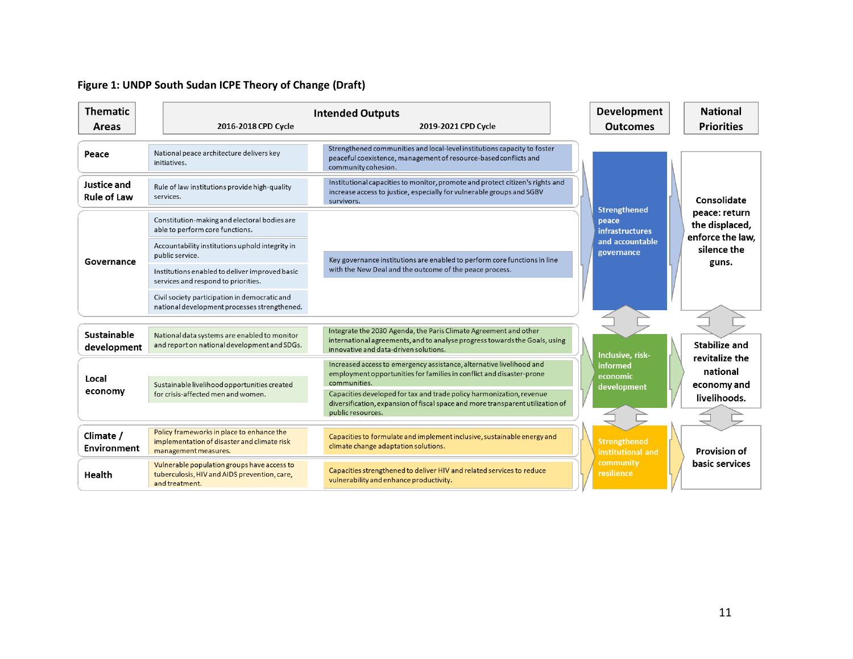## **Figure 1: UNDP South Sudan ICPE Theory of Change (Draft)**

| <b>Thematic</b>                   | <b>Intended Outputs</b>                                                                                          |                                                                                                                                                                                         |  | <b>Development</b>                                     | <b>National</b>                                     |
|-----------------------------------|------------------------------------------------------------------------------------------------------------------|-----------------------------------------------------------------------------------------------------------------------------------------------------------------------------------------|--|--------------------------------------------------------|-----------------------------------------------------|
| Areas                             | 2016-2018 CPD Cycle                                                                                              | 2019-2021 CPD Cycle                                                                                                                                                                     |  | <b>Outcomes</b>                                        | <b>Priorities</b>                                   |
| Peace                             | National peace architecture delivers key<br>initiatives.                                                         | Strengthened communities and local-level institutions capacity to foster<br>peaceful coexistence, management of resource-based conflicts and<br>community cohesion.                     |  |                                                        |                                                     |
| Justice and<br><b>Rule of Law</b> | Rule of law institutions provide high-quality<br>services.                                                       | Institutional capacities to monitor, promote and protect citizen's rights and<br>increase access to justice, especially for vulnerable groups and SGBV<br>survivors.                    |  |                                                        | Consolidate                                         |
|                                   | Constitution-making and electoral bodies are<br>able to perform core functions.                                  |                                                                                                                                                                                         |  | <b>Strengthened</b><br>peace<br><b>infrastructures</b> | peace: return<br>the displaced,<br>enforce the law. |
| Governance                        | Accountability institutions uphold integrity in<br>public service.                                               | Key governance institutions are enabled to perform core functions in line                                                                                                               |  | and accountable<br>governance                          | silence the<br>guns.                                |
|                                   | Institutions enabled to deliver improved basic<br>services and respond to priorities.                            | with the New Deal and the outcome of the peace process.                                                                                                                                 |  |                                                        |                                                     |
|                                   | Civil society participation in democratic and<br>national development processes strengthened.                    |                                                                                                                                                                                         |  |                                                        |                                                     |
| <b>Sustainable</b><br>development | National data systems are enabled to monitor<br>and report on national development and SDGs.                     | Integrate the 2030 Agenda, the Paris Climate Agreement and other<br>international agreements, and to analyse progress towards the Goals, using<br>innovative and data-driven solutions. |  | Inclusive, risk-                                       | <b>Stabilize and</b>                                |
| Local                             |                                                                                                                  | Increased access to emergency assistance, alternative livelihood and<br>employment opportunities for families in conflict and disaster-prone<br>communities.                            |  | informed<br>economic                                   | revitalize the<br>national                          |
| economy                           | Sustainable livelihood opportunities created<br>for crisis-affected men and women.                               | Capacities developed for tax and trade policy harmonization, revenue<br>diversification, expansion of fiscal space and more transparent utilization of<br>public resources.             |  | development                                            | economy and<br>livelihoods.                         |
| Climate /<br><b>Environment</b>   | Policy frameworks in place to enhance the<br>implementation of disaster and climate risk<br>management measures. | Capacities to formulate and implement inclusive, sustainable energy and<br>climate change adaptation solutions.                                                                         |  | <b>Strengthened</b><br>institutional and               | <b>Provision of</b>                                 |
| Health                            | Vulnerable population groups have access to<br>tuberculosis, HIV and AIDS prevention, care,<br>and treatment.    | Capacities strengthened to deliver HIV and related services to reduce<br>vulnerability and enhance productivity.                                                                        |  | community<br>resilience                                | basic services                                      |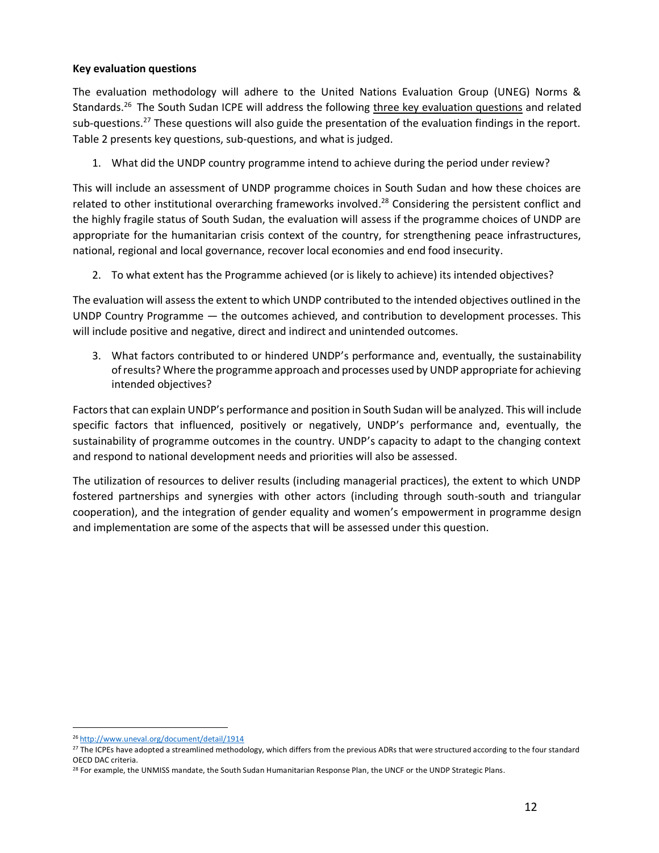## **Key evaluation questions**

The evaluation methodology will adhere to the United Nations Evaluation Group (UNEG) Norms & Standards.<sup>26</sup> The South Sudan ICPE will address the following three key evaluation questions and related sub-questions.<sup>27</sup> These questions will also guide the presentation of the evaluation findings in the report. Table 2 presents key questions, sub-questions, and what is judged.

1. What did the UNDP country programme intend to achieve during the period under review?

This will include an assessment of UNDP programme choices in South Sudan and how these choices are related to other institutional overarching frameworks involved.<sup>28</sup> Considering the persistent conflict and the highly fragile status of South Sudan, the evaluation will assess if the programme choices of UNDP are appropriate for the humanitarian crisis context of the country, for strengthening peace infrastructures, national, regional and local governance, recover local economies and end food insecurity.

2. To what extent has the Programme achieved (or is likely to achieve) its intended objectives?

The evaluation will assess the extent to which UNDP contributed to the intended objectives outlined in the UNDP Country Programme — the outcomes achieved, and contribution to development processes. This will include positive and negative, direct and indirect and unintended outcomes.

3. What factors contributed to or hindered UNDP's performance and, eventually, the sustainability of results? Where the programme approach and processes used by UNDP appropriate for achieving intended objectives?

Factors that can explain UNDP's performance and position in South Sudan will be analyzed. This will include specific factors that influenced, positively or negatively, UNDP's performance and, eventually, the sustainability of programme outcomes in the country. UNDP's capacity to adapt to the changing context and respond to national development needs and priorities will also be assessed.

The utilization of resources to deliver results (including managerial practices), the extent to which UNDP fostered partnerships and synergies with other actors (including through south-south and triangular cooperation), and the integration of gender equality and women's empowerment in programme design and implementation are some of the aspects that will be assessed under this question.

<sup>26</sup> [http://www.uneval.org/document/detail/1914](https://emea01.safelinks.protection.outlook.com/?url=http%3A%2F%2Fwww.uneval.org%2Fdocument%2Fdetail%2F1914&data=02%7C01%7C%7C981a34fdc3874fee893d08d61cf08d3f%7Cb3e5db5e2944483799f57488ace54319%7C0%7C0%7C636728216807608988&sdata=WcKm5wSXMKTXehgCOJGd5qWaoNwrlIoooE7Zb5Pu3VM%3D&reserved=0)

<sup>&</sup>lt;sup>27</sup> The ICPEs have adopted a streamlined methodology, which differs from the previous ADRs that were structured according to the four standard OECD DAC criteria.

<sup>&</sup>lt;sup>28</sup> For example, the UNMISS mandate, the South Sudan Humanitarian Response Plan, the UNCF or the UNDP Strategic Plans.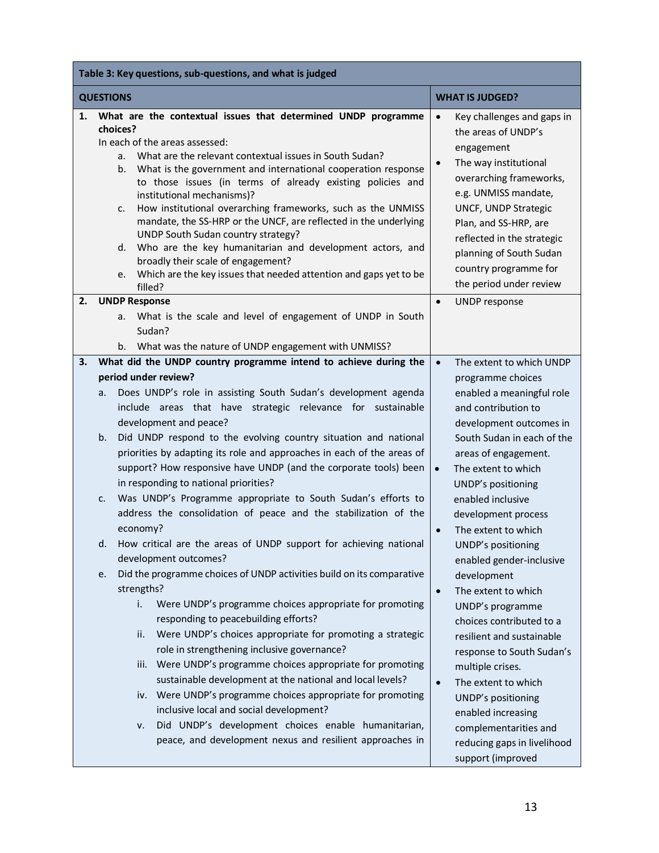|    | Table 3: Key questions, sub-questions, and what is judged                                                                                                                                                                                                                                                                                                                                                                                                                                                                                                                                                                                                                                                                  |                                                                                                                                                                                                                                                                                                                                            |  |  |
|----|----------------------------------------------------------------------------------------------------------------------------------------------------------------------------------------------------------------------------------------------------------------------------------------------------------------------------------------------------------------------------------------------------------------------------------------------------------------------------------------------------------------------------------------------------------------------------------------------------------------------------------------------------------------------------------------------------------------------------|--------------------------------------------------------------------------------------------------------------------------------------------------------------------------------------------------------------------------------------------------------------------------------------------------------------------------------------------|--|--|
|    | <b>QUESTIONS</b><br><b>WHAT IS JUDGED?</b>                                                                                                                                                                                                                                                                                                                                                                                                                                                                                                                                                                                                                                                                                 |                                                                                                                                                                                                                                                                                                                                            |  |  |
| 1. | What are the contextual issues that determined UNDP programme<br>choices?<br>In each of the areas assessed:<br>What are the relevant contextual issues in South Sudan?<br>a.<br>What is the government and international cooperation response<br>b.<br>to those issues (in terms of already existing policies and<br>institutional mechanisms)?<br>How institutional overarching frameworks, such as the UNMISS<br>c.<br>mandate, the SS-HRP or the UNCF, are reflected in the underlying<br>UNDP South Sudan country strategy?<br>d. Who are the key humanitarian and development actors, and<br>broadly their scale of engagement?<br>Which are the key issues that needed attention and gaps yet to be<br>e.<br>filled? | $\bullet$<br>Key challenges and gaps in<br>the areas of UNDP's<br>engagement<br>The way institutional<br>overarching frameworks,<br>e.g. UNMISS mandate,<br>UNCF, UNDP Strategic<br>Plan, and SS-HRP, are<br>reflected in the strategic<br>planning of South Sudan<br>country programme for<br>the period under review                     |  |  |
| 2. | <b>UNDP Response</b>                                                                                                                                                                                                                                                                                                                                                                                                                                                                                                                                                                                                                                                                                                       | UNDP response<br>$\bullet$                                                                                                                                                                                                                                                                                                                 |  |  |
|    | What is the scale and level of engagement of UNDP in South<br>a.<br>Sudan?<br>b. What was the nature of UNDP engagement with UNMISS?                                                                                                                                                                                                                                                                                                                                                                                                                                                                                                                                                                                       |                                                                                                                                                                                                                                                                                                                                            |  |  |
| 3. | What did the UNDP country programme intend to achieve during the                                                                                                                                                                                                                                                                                                                                                                                                                                                                                                                                                                                                                                                           | The extent to which UNDP<br>$\bullet$                                                                                                                                                                                                                                                                                                      |  |  |
|    | period under review?<br>Does UNDP's role in assisting South Sudan's development agenda<br>a.<br>include areas that have strategic relevance for sustainable<br>development and peace?                                                                                                                                                                                                                                                                                                                                                                                                                                                                                                                                      | programme choices<br>enabled a meaningful role<br>and contribution to<br>development outcomes in                                                                                                                                                                                                                                           |  |  |
|    | Did UNDP respond to the evolving country situation and national<br>b.<br>priorities by adapting its role and approaches in each of the areas of<br>support? How responsive have UNDP (and the corporate tools) been<br>in responding to national priorities?                                                                                                                                                                                                                                                                                                                                                                                                                                                               | South Sudan in each of the<br>areas of engagement.<br>The extent to which<br>$\bullet$<br>UNDP's positioning                                                                                                                                                                                                                               |  |  |
|    | Was UNDP's Programme appropriate to South Sudan's efforts to<br>c.<br>address the consolidation of peace and the stabilization of the<br>economy?                                                                                                                                                                                                                                                                                                                                                                                                                                                                                                                                                                          | enabled inclusive<br>development process<br>The extent to which<br>$\bullet$                                                                                                                                                                                                                                                               |  |  |
|    | How critical are the areas of UNDP support for achieving national<br>d.<br>development outcomes?                                                                                                                                                                                                                                                                                                                                                                                                                                                                                                                                                                                                                           | UNDP's positioning<br>enabled gender-inclusive                                                                                                                                                                                                                                                                                             |  |  |
|    | Did the programme choices of UNDP activities build on its comparative<br>e.<br>strengths?<br>Were UNDP's programme choices appropriate for promoting<br>i.<br>responding to peacebuilding efforts?<br>Were UNDP's choices appropriate for promoting a strategic<br>ii.<br>role in strengthening inclusive governance?<br>Were UNDP's programme choices appropriate for promoting<br>iii.<br>sustainable development at the national and local levels?<br>iv. Were UNDP's programme choices appropriate for promoting<br>inclusive local and social development?<br>Did UNDP's development choices enable humanitarian,<br>٧.<br>peace, and development nexus and resilient approaches in                                   | development<br>The extent to which<br>$\bullet$<br>UNDP's programme<br>choices contributed to a<br>resilient and sustainable<br>response to South Sudan's<br>multiple crises.<br>The extent to which<br>$\bullet$<br>UNDP's positioning<br>enabled increasing<br>complementarities and<br>reducing gaps in livelihood<br>support (improved |  |  |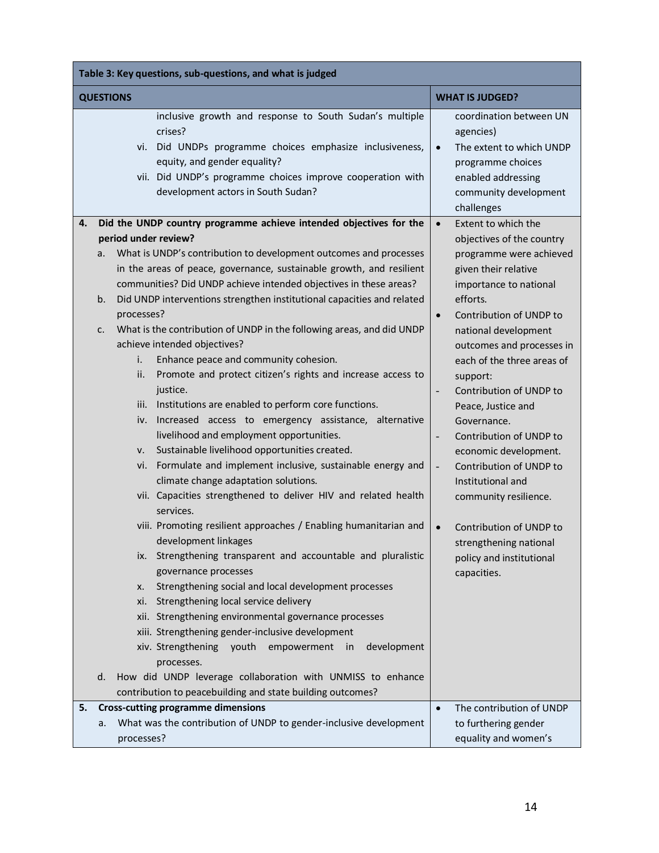| Table 3: Key questions, sub-questions, and what is judged                                                                                                                                                                                                                                                                                                                                                                                                                                                                                                                                                                                                                                                                                                                                                                                                                                                                                                                                                                                                                                                                                                                                                                                                                                             |                                                                                                                                                                                                                                                                                                                                                                                                                                                                                           |  |  |  |
|-------------------------------------------------------------------------------------------------------------------------------------------------------------------------------------------------------------------------------------------------------------------------------------------------------------------------------------------------------------------------------------------------------------------------------------------------------------------------------------------------------------------------------------------------------------------------------------------------------------------------------------------------------------------------------------------------------------------------------------------------------------------------------------------------------------------------------------------------------------------------------------------------------------------------------------------------------------------------------------------------------------------------------------------------------------------------------------------------------------------------------------------------------------------------------------------------------------------------------------------------------------------------------------------------------|-------------------------------------------------------------------------------------------------------------------------------------------------------------------------------------------------------------------------------------------------------------------------------------------------------------------------------------------------------------------------------------------------------------------------------------------------------------------------------------------|--|--|--|
| <b>QUESTIONS</b>                                                                                                                                                                                                                                                                                                                                                                                                                                                                                                                                                                                                                                                                                                                                                                                                                                                                                                                                                                                                                                                                                                                                                                                                                                                                                      | <b>WHAT IS JUDGED?</b>                                                                                                                                                                                                                                                                                                                                                                                                                                                                    |  |  |  |
| inclusive growth and response to South Sudan's multiple<br>crises?<br>vi. Did UNDPs programme choices emphasize inclusiveness,<br>equity, and gender equality?<br>vii. Did UNDP's programme choices improve cooperation with<br>development actors in South Sudan?                                                                                                                                                                                                                                                                                                                                                                                                                                                                                                                                                                                                                                                                                                                                                                                                                                                                                                                                                                                                                                    | coordination between UN<br>agencies)<br>The extent to which UNDP<br>$\bullet$<br>programme choices<br>enabled addressing<br>community development<br>challenges                                                                                                                                                                                                                                                                                                                           |  |  |  |
| Did the UNDP country programme achieve intended objectives for the<br>4.                                                                                                                                                                                                                                                                                                                                                                                                                                                                                                                                                                                                                                                                                                                                                                                                                                                                                                                                                                                                                                                                                                                                                                                                                              | Extent to which the<br>$\bullet$                                                                                                                                                                                                                                                                                                                                                                                                                                                          |  |  |  |
| period under review?<br>What is UNDP's contribution to development outcomes and processes<br>a.<br>in the areas of peace, governance, sustainable growth, and resilient<br>communities? Did UNDP achieve intended objectives in these areas?<br>Did UNDP interventions strengthen institutional capacities and related<br>b.<br>processes?                                                                                                                                                                                                                                                                                                                                                                                                                                                                                                                                                                                                                                                                                                                                                                                                                                                                                                                                                            | objectives of the country<br>programme were achieved<br>given their relative<br>importance to national<br>efforts.<br>Contribution of UNDP to<br>$\bullet$                                                                                                                                                                                                                                                                                                                                |  |  |  |
| What is the contribution of UNDP in the following areas, and did UNDP<br>c.<br>achieve intended objectives?<br>Enhance peace and community cohesion.<br>i.<br>Promote and protect citizen's rights and increase access to<br>ii.<br>justice.<br>iii. Institutions are enabled to perform core functions.<br>Increased access to emergency assistance, alternative<br>iv.<br>livelihood and employment opportunities.<br>Sustainable livelihood opportunities created.<br>v.<br>Formulate and implement inclusive, sustainable energy and<br>vi.<br>climate change adaptation solutions.<br>vii. Capacities strengthened to deliver HIV and related health<br>services.<br>viii. Promoting resilient approaches / Enabling humanitarian and<br>development linkages<br>Strengthening transparent and accountable and pluralistic<br>ix.<br>governance processes<br>Strengthening social and local development processes<br>x.<br>Strengthening local service delivery<br>xi.<br>xii. Strengthening environmental governance processes<br>xiii. Strengthening gender-inclusive development<br>xiv. Strengthening youth empowerment<br>development<br>in<br>processes.<br>How did UNDP leverage collaboration with UNMISS to enhance<br>d.<br>contribution to peacebuilding and state building outcomes? | national development<br>outcomes and processes in<br>each of the three areas of<br>support:<br>Contribution of UNDP to<br>$\overline{\phantom{a}}$<br>Peace, Justice and<br>Governance.<br>Contribution of UNDP to<br>$\overline{\phantom{a}}$<br>economic development.<br>Contribution of UNDP to<br>$\overline{\phantom{a}}$<br>Institutional and<br>community resilience.<br>Contribution of UNDP to<br>$\bullet$<br>strengthening national<br>policy and institutional<br>capacities. |  |  |  |
| <b>Cross-cutting programme dimensions</b><br>5.                                                                                                                                                                                                                                                                                                                                                                                                                                                                                                                                                                                                                                                                                                                                                                                                                                                                                                                                                                                                                                                                                                                                                                                                                                                       | The contribution of UNDP<br>$\bullet$                                                                                                                                                                                                                                                                                                                                                                                                                                                     |  |  |  |
| What was the contribution of UNDP to gender-inclusive development<br>a.<br>processes?                                                                                                                                                                                                                                                                                                                                                                                                                                                                                                                                                                                                                                                                                                                                                                                                                                                                                                                                                                                                                                                                                                                                                                                                                 | to furthering gender<br>equality and women's                                                                                                                                                                                                                                                                                                                                                                                                                                              |  |  |  |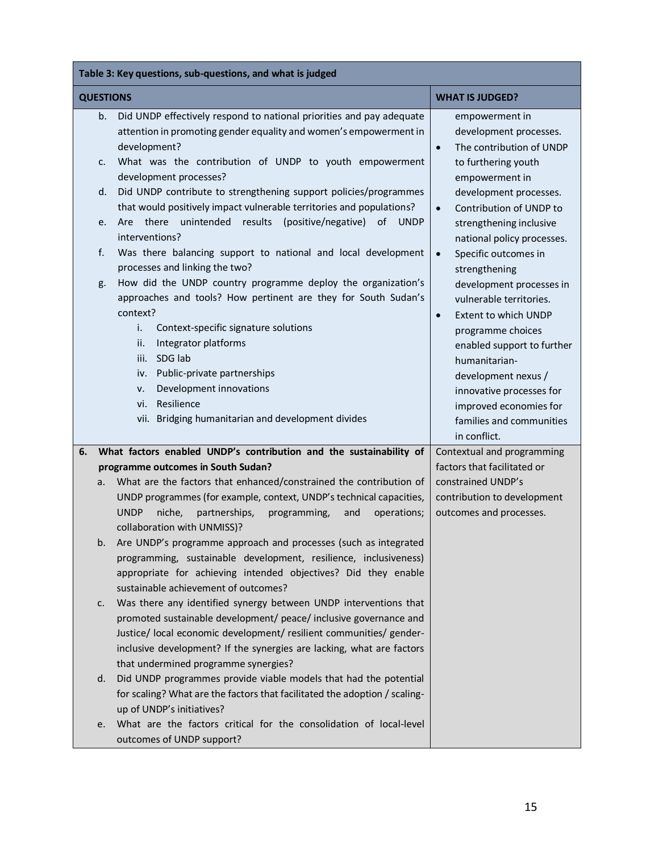|                                            | Table 3: Key questions, sub-questions, and what is judged |                                                                                                                                                                                                                                                                                                                                                                                                                                                                                                                                                                                                                                                                                                                        |                                                                                                                                                                                                                                                                                                                                                                                                                                                     |  |  |
|--------------------------------------------|-----------------------------------------------------------|------------------------------------------------------------------------------------------------------------------------------------------------------------------------------------------------------------------------------------------------------------------------------------------------------------------------------------------------------------------------------------------------------------------------------------------------------------------------------------------------------------------------------------------------------------------------------------------------------------------------------------------------------------------------------------------------------------------------|-----------------------------------------------------------------------------------------------------------------------------------------------------------------------------------------------------------------------------------------------------------------------------------------------------------------------------------------------------------------------------------------------------------------------------------------------------|--|--|
| <b>QUESTIONS</b><br><b>WHAT IS JUDGED?</b> |                                                           |                                                                                                                                                                                                                                                                                                                                                                                                                                                                                                                                                                                                                                                                                                                        |                                                                                                                                                                                                                                                                                                                                                                                                                                                     |  |  |
|                                            | b.<br>c.                                                  | Did UNDP effectively respond to national priorities and pay adequate<br>attention in promoting gender equality and women's empowerment in<br>development?<br>What was the contribution of UNDP to youth empowerment                                                                                                                                                                                                                                                                                                                                                                                                                                                                                                    | empowerment in<br>development processes.<br>The contribution of UNDP<br>$\bullet$<br>to furthering youth                                                                                                                                                                                                                                                                                                                                            |  |  |
|                                            | d.<br>e.<br>f.<br>g.                                      | development processes?<br>Did UNDP contribute to strengthening support policies/programmes<br>that would positively impact vulnerable territories and populations?<br>there<br>unintended<br>results<br>(positive/negative)<br>0f<br><b>UNDP</b><br>Are<br>interventions?<br>Was there balancing support to national and local development<br>processes and linking the two?<br>How did the UNDP country programme deploy the organization's<br>approaches and tools? How pertinent are they for South Sudan's<br>context?<br>i.<br>Context-specific signature solutions<br>Integrator platforms<br>ii.<br>SDG lab<br>iii.<br>Public-private partnerships<br>iv.<br>Development innovations<br>v.<br>Resilience<br>vi. | empowerment in<br>development processes.<br>Contribution of UNDP to<br>$\bullet$<br>strengthening inclusive<br>national policy processes.<br>Specific outcomes in<br>$\bullet$<br>strengthening<br>development processes in<br>vulnerable territories.<br><b>Extent to which UNDP</b><br>$\bullet$<br>programme choices<br>enabled support to further<br>humanitarian-<br>development nexus /<br>innovative processes for<br>improved economies for |  |  |
|                                            |                                                           | vii. Bridging humanitarian and development divides                                                                                                                                                                                                                                                                                                                                                                                                                                                                                                                                                                                                                                                                     | families and communities<br>in conflict.                                                                                                                                                                                                                                                                                                                                                                                                            |  |  |
| 6.                                         |                                                           | What factors enabled UNDP's contribution and the sustainability of                                                                                                                                                                                                                                                                                                                                                                                                                                                                                                                                                                                                                                                     | Contextual and programming                                                                                                                                                                                                                                                                                                                                                                                                                          |  |  |
|                                            | a.                                                        | programme outcomes in South Sudan?<br>What are the factors that enhanced/constrained the contribution of<br>UNDP programmes (for example, context, UNDP's technical capacities,<br>partnerships,<br><b>UNDP</b><br>niche.<br>programming,<br>and<br>operations;<br>collaboration with UNMISS)?                                                                                                                                                                                                                                                                                                                                                                                                                         | factors that facilitated or<br>constrained UNDP's<br>contribution to development<br>outcomes and processes.                                                                                                                                                                                                                                                                                                                                         |  |  |
|                                            | b.                                                        | Are UNDP's programme approach and processes (such as integrated<br>programming, sustainable development, resilience, inclusiveness)<br>appropriate for achieving intended objectives? Did they enable<br>sustainable achievement of outcomes?                                                                                                                                                                                                                                                                                                                                                                                                                                                                          |                                                                                                                                                                                                                                                                                                                                                                                                                                                     |  |  |
|                                            | c.                                                        | Was there any identified synergy between UNDP interventions that<br>promoted sustainable development/ peace/ inclusive governance and<br>Justice/ local economic development/ resilient communities/ gender-<br>inclusive development? If the synergies are lacking, what are factors<br>that undermined programme synergies?                                                                                                                                                                                                                                                                                                                                                                                          |                                                                                                                                                                                                                                                                                                                                                                                                                                                     |  |  |
|                                            | d.                                                        | Did UNDP programmes provide viable models that had the potential<br>for scaling? What are the factors that facilitated the adoption / scaling-<br>up of UNDP's initiatives?                                                                                                                                                                                                                                                                                                                                                                                                                                                                                                                                            |                                                                                                                                                                                                                                                                                                                                                                                                                                                     |  |  |
|                                            | e.                                                        | What are the factors critical for the consolidation of local-level<br>outcomes of UNDP support?                                                                                                                                                                                                                                                                                                                                                                                                                                                                                                                                                                                                                        |                                                                                                                                                                                                                                                                                                                                                                                                                                                     |  |  |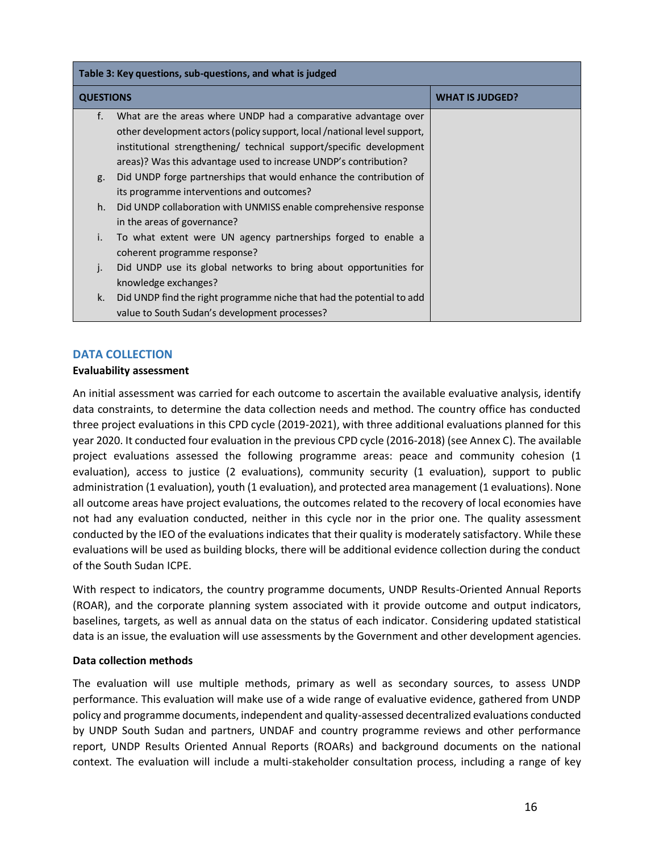| Table 3: Key questions, sub-questions, and what is judged |                                                                          |                        |  |
|-----------------------------------------------------------|--------------------------------------------------------------------------|------------------------|--|
| <b>QUESTIONS</b>                                          |                                                                          | <b>WHAT IS JUDGED?</b> |  |
| f.                                                        | What are the areas where UNDP had a comparative advantage over           |                        |  |
|                                                           | other development actors (policy support, local /national level support, |                        |  |
|                                                           | institutional strengthening/ technical support/specific development      |                        |  |
|                                                           | areas)? Was this advantage used to increase UNDP's contribution?         |                        |  |
| g.                                                        | Did UNDP forge partnerships that would enhance the contribution of       |                        |  |
|                                                           | its programme interventions and outcomes?                                |                        |  |
| h.                                                        | Did UNDP collaboration with UNMISS enable comprehensive response         |                        |  |
|                                                           | in the areas of governance?                                              |                        |  |
| i.                                                        | To what extent were UN agency partnerships forged to enable a            |                        |  |
|                                                           | coherent programme response?                                             |                        |  |
| $\cdot$                                                   | Did UNDP use its global networks to bring about opportunities for        |                        |  |
|                                                           | knowledge exchanges?                                                     |                        |  |
| k.                                                        | Did UNDP find the right programme niche that had the potential to add    |                        |  |
|                                                           | value to South Sudan's development processes?                            |                        |  |

## **DATA COLLECTION**

## **Evaluability assessment**

An initial assessment was carried for each outcome to ascertain the available evaluative analysis, identify data constraints, to determine the data collection needs and method. The country office has conducted three project evaluations in this CPD cycle (2019-2021), with three additional evaluations planned for this year 2020. It conducted four evaluation in the previous CPD cycle (2016-2018) (see Annex C). The available project evaluations assessed the following programme areas: peace and community cohesion (1 evaluation), access to justice (2 evaluations), community security (1 evaluation), support to public administration (1 evaluation), youth (1 evaluation), and protected area management (1 evaluations). None all outcome areas have project evaluations, the outcomes related to the recovery of local economies have not had any evaluation conducted, neither in this cycle nor in the prior one. The quality assessment conducted by the IEO of the evaluations indicates that their quality is moderately satisfactory. While these evaluations will be used as building blocks, there will be additional evidence collection during the conduct of the South Sudan ICPE.

With respect to indicators, the country programme documents, UNDP Results-Oriented Annual Reports (ROAR), and the corporate planning system associated with it provide outcome and output indicators, baselines, targets, as well as annual data on the status of each indicator. Considering updated statistical data is an issue, the evaluation will use assessments by the Government and other development agencies.

## **Data collection methods**

The evaluation will use multiple methods, primary as well as secondary sources, to assess UNDP performance. This evaluation will make use of a wide range of evaluative evidence, gathered from UNDP policy and programme documents, independent and quality-assessed decentralized evaluations conducted by UNDP South Sudan and partners, UNDAF and country programme reviews and other performance report, UNDP Results Oriented Annual Reports (ROARs) and background documents on the national context. The evaluation will include a multi-stakeholder consultation process, including a range of key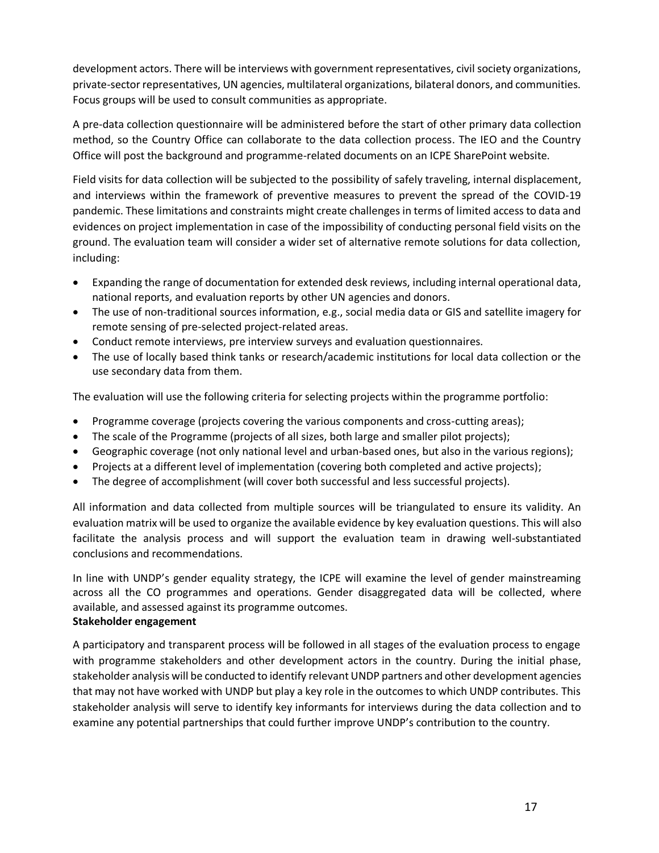development actors. There will be interviews with government representatives, civil society organizations, private-sector representatives, UN agencies, multilateral organizations, bilateral donors, and communities. Focus groups will be used to consult communities as appropriate.

A pre-data collection questionnaire will be administered before the start of other primary data collection method, so the Country Office can collaborate to the data collection process. The IEO and the Country Office will post the background and programme-related documents on an ICPE SharePoint website.

Field visits for data collection will be subjected to the possibility of safely traveling, internal displacement, and interviews within the framework of preventive measures to prevent the spread of the COVID-19 pandemic. These limitations and constraints might create challenges in terms of limited access to data and evidences on project implementation in case of the impossibility of conducting personal field visits on the ground. The evaluation team will consider a wider set of alternative remote solutions for data collection, including:

- Expanding the range of documentation for extended desk reviews, including internal operational data, national reports, and evaluation reports by other UN agencies and donors.
- The use of non-traditional sources information, e.g., social media data or GIS and satellite imagery for remote sensing of pre-selected project-related areas.
- Conduct remote interviews, pre interview surveys and evaluation questionnaires.
- The use of locally based think tanks or research/academic institutions for local data collection or the use secondary data from them.

The evaluation will use the following criteria for selecting projects within the programme portfolio:

- Programme coverage (projects covering the various components and cross-cutting areas);
- The scale of the Programme (projects of all sizes, both large and smaller pilot projects);
- Geographic coverage (not only national level and urban-based ones, but also in the various regions);
- Projects at a different level of implementation (covering both completed and active projects);
- The degree of accomplishment (will cover both successful and less successful projects).

All information and data collected from multiple sources will be triangulated to ensure its validity. An evaluation matrix will be used to organize the available evidence by key evaluation questions. This will also facilitate the analysis process and will support the evaluation team in drawing well-substantiated conclusions and recommendations.

In line with UNDP's gender equality strategy, the ICPE will examine the level of gender mainstreaming across all the CO programmes and operations. Gender disaggregated data will be collected, where available, and assessed against its programme outcomes.

## **Stakeholder engagement**

A participatory and transparent process will be followed in all stages of the evaluation process to engage with programme stakeholders and other development actors in the country. During the initial phase, stakeholder analysis will be conducted to identify relevant UNDP partners and other development agencies that may not have worked with UNDP but play a key role in the outcomes to which UNDP contributes. This stakeholder analysis will serve to identify key informants for interviews during the data collection and to examine any potential partnerships that could further improve UNDP's contribution to the country.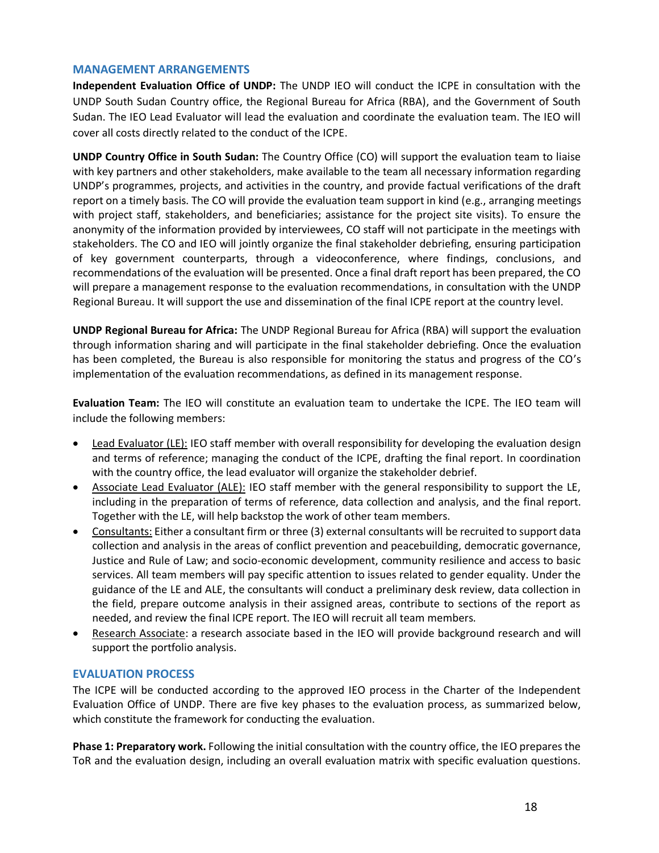#### **MANAGEMENT ARRANGEMENTS**

**Independent Evaluation Office of UNDP:** The UNDP IEO will conduct the ICPE in consultation with the UNDP South Sudan Country office, the Regional Bureau for Africa (RBA), and the Government of South Sudan. The IEO Lead Evaluator will lead the evaluation and coordinate the evaluation team. The IEO will cover all costs directly related to the conduct of the ICPE.

**UNDP Country Office in South Sudan:** The Country Office (CO) will support the evaluation team to liaise with key partners and other stakeholders, make available to the team all necessary information regarding UNDP's programmes, projects, and activities in the country, and provide factual verifications of the draft report on a timely basis. The CO will provide the evaluation team support in kind (e.g., arranging meetings with project staff, stakeholders, and beneficiaries; assistance for the project site visits). To ensure the anonymity of the information provided by interviewees, CO staff will not participate in the meetings with stakeholders. The CO and IEO will jointly organize the final stakeholder debriefing, ensuring participation of key government counterparts, through a videoconference, where findings, conclusions, and recommendations of the evaluation will be presented. Once a final draft report has been prepared, the CO will prepare a management response to the evaluation recommendations, in consultation with the UNDP Regional Bureau. It will support the use and dissemination of the final ICPE report at the country level.

**UNDP Regional Bureau for Africa:** The UNDP Regional Bureau for Africa (RBA) will support the evaluation through information sharing and will participate in the final stakeholder debriefing. Once the evaluation has been completed, the Bureau is also responsible for monitoring the status and progress of the CO's implementation of the evaluation recommendations, as defined in its management response.

**Evaluation Team:** The IEO will constitute an evaluation team to undertake the ICPE. The IEO team will include the following members:

- Lead Evaluator (LE): IEO staff member with overall responsibility for developing the evaluation design and terms of reference; managing the conduct of the ICPE, drafting the final report. In coordination with the country office, the lead evaluator will organize the stakeholder debrief.
- Associate Lead Evaluator (ALE): IEO staff member with the general responsibility to support the LE, including in the preparation of terms of reference, data collection and analysis, and the final report. Together with the LE, will help backstop the work of other team members.
- Consultants: Either a consultant firm or three (3) external consultants will be recruited to support data collection and analysis in the areas of conflict prevention and peacebuilding, democratic governance, Justice and Rule of Law; and socio-economic development, community resilience and access to basic services. All team members will pay specific attention to issues related to gender equality. Under the guidance of the LE and ALE, the consultants will conduct a preliminary desk review, data collection in the field, prepare outcome analysis in their assigned areas, contribute to sections of the report as needed, and review the final ICPE report. The IEO will recruit all team members.
- Research Associate: a research associate based in the IEO will provide background research and will support the portfolio analysis.

## **EVALUATION PROCESS**

The ICPE will be conducted according to the approved IEO process in the Charter of the Independent Evaluation Office of UNDP. There are five key phases to the evaluation process, as summarized below, which constitute the framework for conducting the evaluation.

**Phase 1: Preparatory work.** Following the initial consultation with the country office, the IEO prepares the ToR and the evaluation design, including an overall evaluation matrix with specific evaluation questions.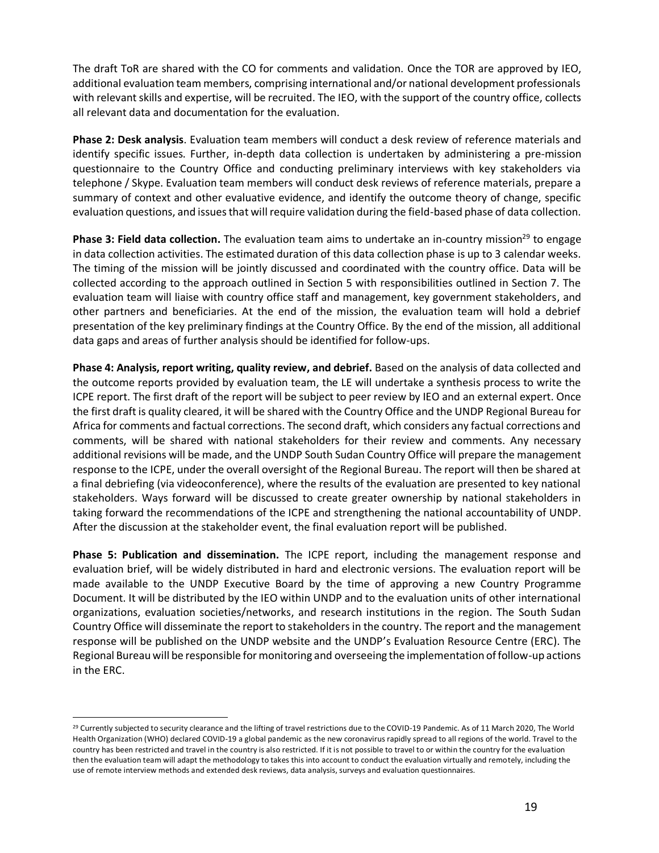The draft ToR are shared with the CO for comments and validation. Once the TOR are approved by IEO, additional evaluation team members, comprising international and/or national development professionals with relevant skills and expertise, will be recruited. The IEO, with the support of the country office, collects all relevant data and documentation for the evaluation.

**Phase 2: Desk analysis**. Evaluation team members will conduct a desk review of reference materials and identify specific issues. Further, in-depth data collection is undertaken by administering a pre-mission questionnaire to the Country Office and conducting preliminary interviews with key stakeholders via telephone / Skype. Evaluation team members will conduct desk reviews of reference materials, prepare a summary of context and other evaluative evidence, and identify the outcome theory of change, specific evaluation questions, and issues that will require validation during the field-based phase of data collection.

**Phase 3: Field data collection.** The evaluation team aims to undertake an in-country mission<sup>29</sup> to engage in data collection activities. The estimated duration of this data collection phase is up to 3 calendar weeks. The timing of the mission will be jointly discussed and coordinated with the country office. Data will be collected according to the approach outlined in Section 5 with responsibilities outlined in Section 7. The evaluation team will liaise with country office staff and management, key government stakeholders, and other partners and beneficiaries. At the end of the mission, the evaluation team will hold a debrief presentation of the key preliminary findings at the Country Office. By the end of the mission, all additional data gaps and areas of further analysis should be identified for follow-ups.

**Phase 4: Analysis, report writing, quality review, and debrief.** Based on the analysis of data collected and the outcome reports provided by evaluation team, the LE will undertake a synthesis process to write the ICPE report. The first draft of the report will be subject to peer review by IEO and an external expert. Once the first draft is quality cleared, it will be shared with the Country Office and the UNDP Regional Bureau for Africa for comments and factual corrections. The second draft, which considers any factual corrections and comments, will be shared with national stakeholders for their review and comments. Any necessary additional revisions will be made, and the UNDP South Sudan Country Office will prepare the management response to the ICPE, under the overall oversight of the Regional Bureau. The report will then be shared at a final debriefing (via videoconference), where the results of the evaluation are presented to key national stakeholders. Ways forward will be discussed to create greater ownership by national stakeholders in taking forward the recommendations of the ICPE and strengthening the national accountability of UNDP. After the discussion at the stakeholder event, the final evaluation report will be published.

**Phase 5: Publication and dissemination.** The ICPE report, including the management response and evaluation brief, will be widely distributed in hard and electronic versions. The evaluation report will be made available to the UNDP Executive Board by the time of approving a new Country Programme Document. It will be distributed by the IEO within UNDP and to the evaluation units of other international organizations, evaluation societies/networks, and research institutions in the region. The South Sudan Country Office will disseminate the report to stakeholders in the country. The report and the management response will be published on the UNDP website and the UNDP's Evaluation Resource Centre (ERC). The Regional Bureau will be responsible for monitoring and overseeing the implementation of follow-up actions in the ERC.

<sup>&</sup>lt;sup>29</sup> Currently subjected to security clearance and the lifting of travel restrictions due to the COVID-19 Pandemic. As of 11 March 2020, The World Health Organization (WHO) declared COVID-19 a global pandemic as the new coronavirus rapidly spread to all regions of the world. Travel to the country has been restricted and travel in the country is also restricted. If it is not possible to travel to or within the country for the evaluation then the evaluation team will adapt the methodology to takes this into account to conduct the evaluation virtually and remotely, including the use of remote interview methods and extended desk reviews, data analysis, surveys and evaluation questionnaires.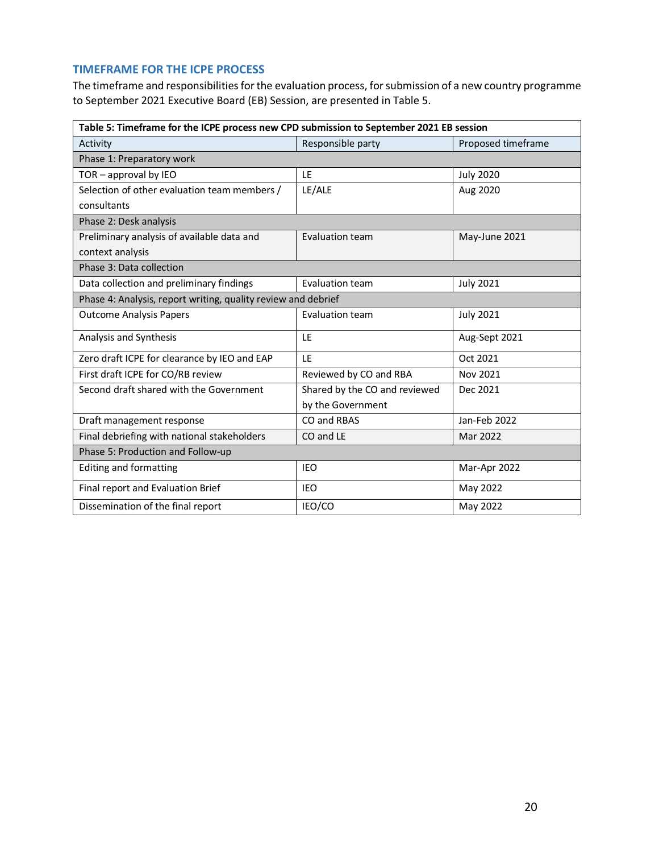## **TIMEFRAME FOR THE ICPE PROCESS**

The timeframe and responsibilities for the evaluation process, for submission of a new country programme to September 2021 Executive Board (EB) Session, are presented in Table 5.

| Table 5: Timeframe for the ICPE process new CPD submission to September 2021 EB session |                               |                    |  |  |
|-----------------------------------------------------------------------------------------|-------------------------------|--------------------|--|--|
| Activity                                                                                | Responsible party             | Proposed timeframe |  |  |
| Phase 1: Preparatory work                                                               |                               |                    |  |  |
| $TOR - approach$ by IEO                                                                 | LE                            | <b>July 2020</b>   |  |  |
| Selection of other evaluation team members /                                            | LE/ALE                        | Aug 2020           |  |  |
| consultants                                                                             |                               |                    |  |  |
| Phase 2: Desk analysis                                                                  |                               |                    |  |  |
| Preliminary analysis of available data and                                              | Evaluation team               | May-June 2021      |  |  |
| context analysis                                                                        |                               |                    |  |  |
| Phase 3: Data collection                                                                |                               |                    |  |  |
| Data collection and preliminary findings                                                | Evaluation team               | <b>July 2021</b>   |  |  |
| Phase 4: Analysis, report writing, quality review and debrief                           |                               |                    |  |  |
| <b>Outcome Analysis Papers</b>                                                          | Evaluation team               | <b>July 2021</b>   |  |  |
| Analysis and Synthesis                                                                  | LE                            | Aug-Sept 2021      |  |  |
| Zero draft ICPE for clearance by IEO and EAP                                            | 1F                            | Oct 2021           |  |  |
| First draft ICPE for CO/RB review                                                       | Reviewed by CO and RBA        | Nov 2021           |  |  |
| Second draft shared with the Government                                                 | Shared by the CO and reviewed | Dec 2021           |  |  |
|                                                                                         | by the Government             |                    |  |  |
| Draft management response                                                               | CO and RBAS                   | Jan-Feb 2022       |  |  |
| Final debriefing with national stakeholders                                             | CO and LE                     | Mar 2022           |  |  |
| Phase 5: Production and Follow-up                                                       |                               |                    |  |  |
| <b>Editing and formatting</b>                                                           | <b>IEO</b>                    | Mar-Apr 2022       |  |  |
| Final report and Evaluation Brief                                                       | <b>IEO</b>                    | May 2022           |  |  |
| Dissemination of the final report                                                       | IEO/CO                        | May 2022           |  |  |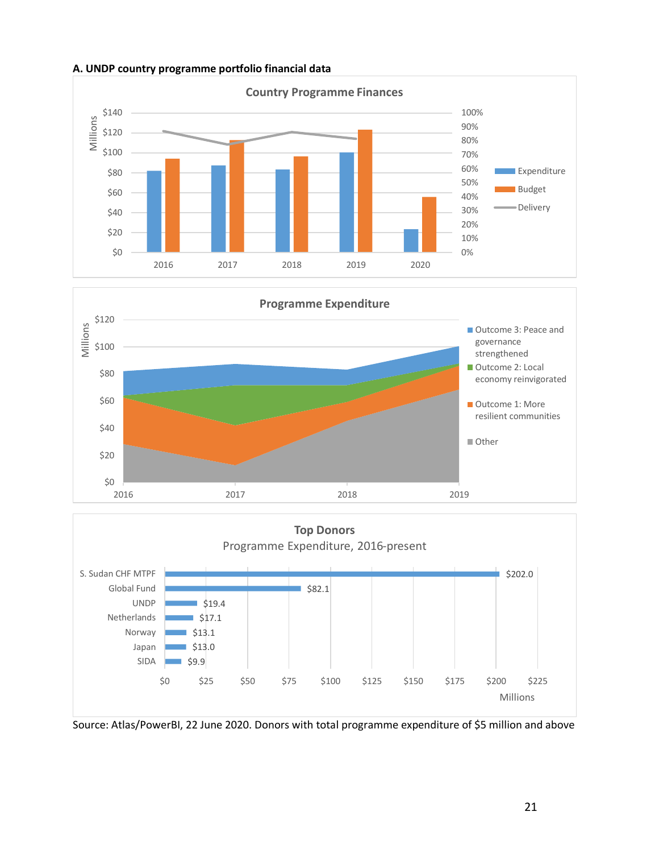

## **A. UNDP country programme portfolio financial data**





Source: Atlas/PowerBI, 22 June 2020. Donors with total programme expenditure of \$5 million and above